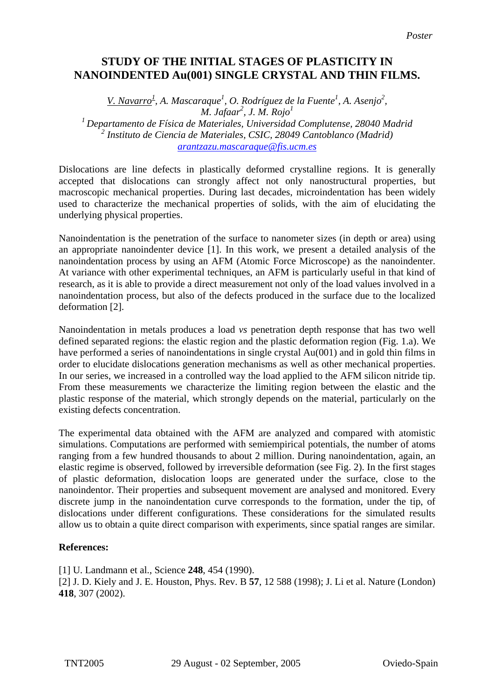## **STUDY OF THE INITIAL STAGES OF PLASTICITY IN NANOINDENTED Au(001) SINGLE CRYSTAL AND THIN FILMS.**

*V. Navarro<sup>1</sup>*, *A. Mascaraque<sup>1</sup>, <i>O. Rodríguez de la Fuente<sup>1</sup>, A. Asenjo<sup>2</sup>, M. Jafaar<sup>2</sup> , J. M. Rojo1 1 Departamento de Física de Materiales, Universidad Complutense, 28040 Madrid 2 Instituto de Ciencia de Materiales, CSIC, 28049 Cantoblanco (Madrid) [arantzazu.mascaraque@fis.ucm.es](mailto:Contact@E-mail)*

Dislocations are line defects in plastically deformed crystalline regions. It is generally accepted that dislocations can strongly affect not only nanostructural properties, but macroscopic mechanical properties. During last decades, microindentation has been widely used to characterize the mechanical properties of solids, with the aim of elucidating the underlying physical properties.

Nanoindentation is the penetration of the surface to nanometer sizes (in depth or area) using an appropriate nanoindenter device [1]. In this work, we present a detailed analysis of the nanoindentation process by using an AFM (Atomic Force Microscope) as the nanoindenter. At variance with other experimental techniques, an AFM is particularly useful in that kind of research, as it is able to provide a direct measurement not only of the load values involved in a nanoindentation process, but also of the defects produced in the surface due to the localized deformation [2].

Nanoindentation in metals produces a load *vs* penetration depth response that has two well defined separated regions: the elastic region and the plastic deformation region (Fig. 1.a). We have performed a series of nanoindentations in single crystal Au(001) and in gold thin films in order to elucidate dislocations generation mechanisms as well as other mechanical properties. In our series, we increased in a controlled way the load applied to the AFM silicon nitride tip. From these measurements we characterize the limiting region between the elastic and the plastic response of the material, which strongly depends on the material, particularly on the existing defects concentration.

The experimental data obtained with the AFM are analyzed and compared with atomistic simulations. Computations are performed with semiempirical potentials, the number of atoms ranging from a few hundred thousands to about 2 million. During nanoindentation, again, an elastic regime is observed, followed by irreversible deformation (see Fig. 2). In the first stages of plastic deformation, dislocation loops are generated under the surface, close to the nanoindentor. Their properties and subsequent movement are analysed and monitored. Every discrete jump in the nanoindentation curve corresponds to the formation, under the tip, of dislocations under different configurations. These considerations for the simulated results allow us to obtain a quite direct comparison with experiments, since spatial ranges are similar.

## **References:**

[1] U. Landmann et al., Science **248**, 454 (1990). [2] J. D. Kiely and J. E. Houston, Phys. Rev. B **57**, 12 588 (1998); J. Li et al. Nature (London) **418**, 307 (2002).